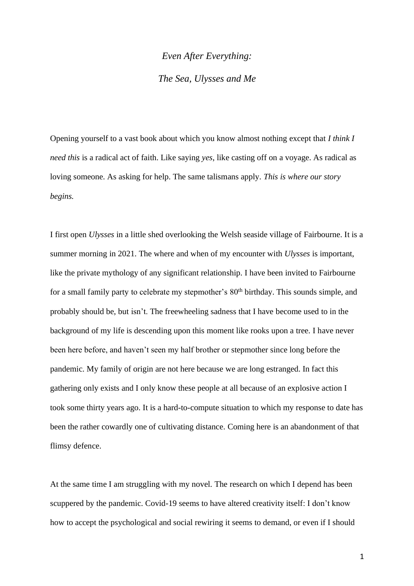# *Even After Everything: The Sea, Ulysses and Me*

Opening yourself to a vast book about which you know almost nothing except that *I think I need this* is a radical act of faith. Like saying *yes*, like casting off on a voyage. As radical as loving someone. As asking for help. The same talismans apply. *This is where our story begins.*

I first open *Ulysses* in a little shed overlooking the Welsh seaside village of Fairbourne. It is a summer morning in 2021. The where and when of my encounter with *Ulysses* is important, like the private mythology of any significant relationship. I have been invited to Fairbourne for a small family party to celebrate my stepmother's  $80<sup>th</sup>$  birthday. This sounds simple, and probably should be, but isn't. The freewheeling sadness that I have become used to in the background of my life is descending upon this moment like rooks upon a tree. I have never been here before, and haven't seen my half brother or stepmother since long before the pandemic. My family of origin are not here because we are long estranged. In fact this gathering only exists and I only know these people at all because of an explosive action I took some thirty years ago. It is a hard-to-compute situation to which my response to date has been the rather cowardly one of cultivating distance. Coming here is an abandonment of that flimsy defence.

At the same time I am struggling with my novel. The research on which I depend has been scuppered by the pandemic. Covid-19 seems to have altered creativity itself: I don't know how to accept the psychological and social rewiring it seems to demand, or even if I should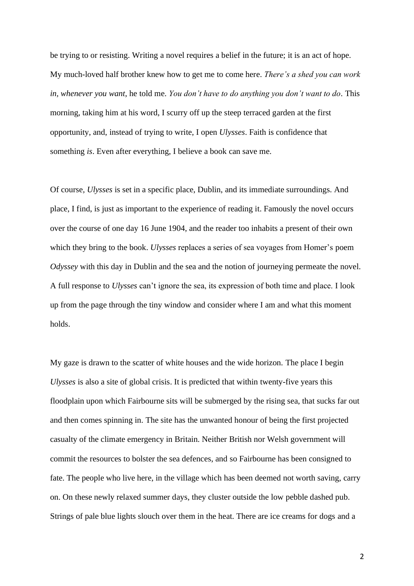be trying to or resisting. Writing a novel requires a belief in the future; it is an act of hope. My much-loved half brother knew how to get me to come here. *There's a shed you can work in, whenever you want*, he told me. *You don't have to do anything you don't want to do*. This morning, taking him at his word, I scurry off up the steep terraced garden at the first opportunity, and, instead of trying to write, I open *Ulysses*. Faith is confidence that something *is*. Even after everything, I believe a book can save me.

Of course*, Ulysses* is set in a specific place, Dublin, and its immediate surroundings. And place, I find, is just as important to the experience of reading it. Famously the novel occurs over the course of one day 16 June 1904, and the reader too inhabits a present of their own which they bring to the book. *Ulysses* replaces a series of sea voyages from Homer's poem *Odyssey* with this day in Dublin and the sea and the notion of journeying permeate the novel. A full response to *Ulysses* can't ignore the sea, its expression of both time and place. I look up from the page through the tiny window and consider where I am and what this moment holds.

My gaze is drawn to the scatter of white houses and the wide horizon. The place I begin *Ulysses* is also a site of global crisis. It is predicted that within twenty-five years this floodplain upon which Fairbourne sits will be submerged by the rising sea, that sucks far out and then comes spinning in. The site has the unwanted honour of being the first projected casualty of the climate emergency in Britain. Neither British nor Welsh government will commit the resources to bolster the sea defences, and so Fairbourne has been consigned to fate. The people who live here, in the village which has been deemed not worth saving, carry on. On these newly relaxed summer days, they cluster outside the low pebble dashed pub. Strings of pale blue lights slouch over them in the heat. There are ice creams for dogs and a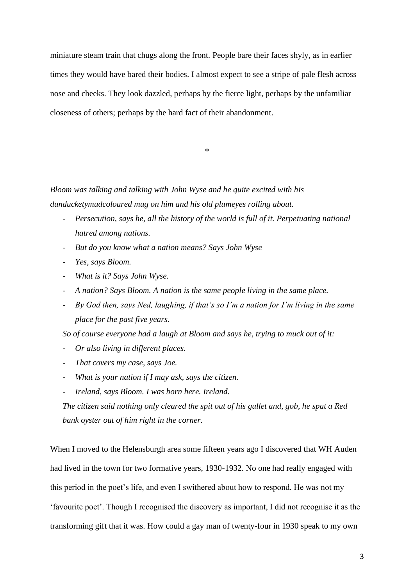miniature steam train that chugs along the front. People bare their faces shyly, as in earlier times they would have bared their bodies. I almost expect to see a stripe of pale flesh across nose and cheeks. They look dazzled, perhaps by the fierce light, perhaps by the unfamiliar closeness of others; perhaps by the hard fact of their abandonment.

\*

*Bloom was talking and talking with John Wyse and he quite excited with his dunducketymudcoloured mug on him and his old plumeyes rolling about.*

- *Persecution, says he, all the history of the world is full of it. Perpetuating national hatred among nations.*
- *But do you know what a nation means? Says John Wyse*
- *Yes, says Bloom.*
- *What is it? Says John Wyse.*
- *A nation? Says Bloom. A nation is the same people living in the same place.*
- *By God then, says Ned, laughing, if that's so I'm a nation for I'm living in the same place for the past five years.*

*So of course everyone had a laugh at Bloom and says he, trying to muck out of it:*

- *Or also living in different places.*
- *That covers my case, says Joe.*
- *What is your nation if I may ask, says the citizen.*
- *Ireland, says Bloom. I was born here. Ireland.*

*The citizen said nothing only cleared the spit out of his gullet and, gob, he spat a Red bank oyster out of him right in the corner.*

When I moved to the Helensburgh area some fifteen years ago I discovered that WH Auden had lived in the town for two formative years, 1930-1932. No one had really engaged with this period in the poet's life, and even I swithered about how to respond. He was not my 'favourite poet'. Though I recognised the discovery as important, I did not recognise it as the transforming gift that it was. How could a gay man of twenty-four in 1930 speak to my own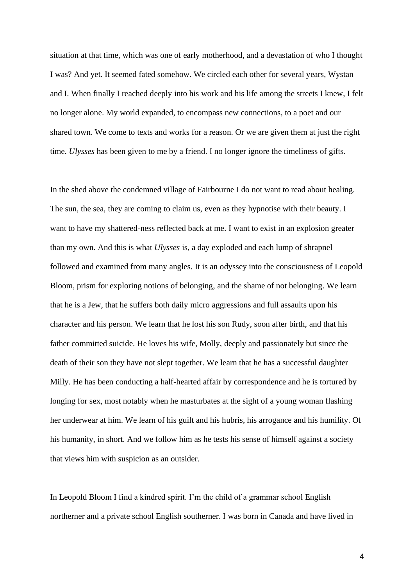situation at that time, which was one of early motherhood, and a devastation of who I thought I was? And yet. It seemed fated somehow. We circled each other for several years, Wystan and I. When finally I reached deeply into his work and his life among the streets I knew, I felt no longer alone. My world expanded, to encompass new connections, to a poet and our shared town. We come to texts and works for a reason. Or we are given them at just the right time. *Ulysses* has been given to me by a friend. I no longer ignore the timeliness of gifts.

In the shed above the condemned village of Fairbourne I do not want to read about healing. The sun, the sea, they are coming to claim us, even as they hypnotise with their beauty. I want to have my shattered-ness reflected back at me. I want to exist in an explosion greater than my own. And this is what *Ulysses* is, a day exploded and each lump of shrapnel followed and examined from many angles. It is an odyssey into the consciousness of Leopold Bloom, prism for exploring notions of belonging, and the shame of not belonging. We learn that he is a Jew, that he suffers both daily micro aggressions and full assaults upon his character and his person. We learn that he lost his son Rudy, soon after birth, and that his father committed suicide. He loves his wife, Molly, deeply and passionately but since the death of their son they have not slept together. We learn that he has a successful daughter Milly. He has been conducting a half-hearted affair by correspondence and he is tortured by longing for sex, most notably when he masturbates at the sight of a young woman flashing her underwear at him. We learn of his guilt and his hubris, his arrogance and his humility. Of his humanity, in short. And we follow him as he tests his sense of himself against a society that views him with suspicion as an outsider.

In Leopold Bloom I find a kindred spirit. I'm the child of a grammar school English northerner and a private school English southerner. I was born in Canada and have lived in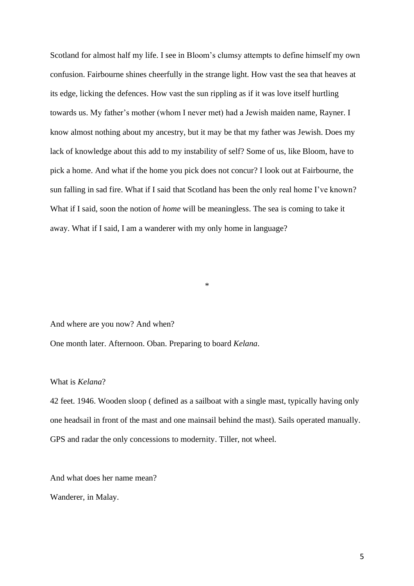Scotland for almost half my life. I see in Bloom's clumsy attempts to define himself my own confusion. Fairbourne shines cheerfully in the strange light. How vast the sea that heaves at its edge, licking the defences. How vast the sun rippling as if it was love itself hurtling towards us. My father's mother (whom I never met) had a Jewish maiden name, Rayner. I know almost nothing about my ancestry, but it may be that my father was Jewish. Does my lack of knowledge about this add to my instability of self? Some of us, like Bloom, have to pick a home. And what if the home you pick does not concur? I look out at Fairbourne, the sun falling in sad fire. What if I said that Scotland has been the only real home I've known? What if I said, soon the notion of *home* will be meaningless. The sea is coming to take it away. What if I said, I am a wanderer with my only home in language?

And where are you now? And when?

One month later. Afternoon. Oban. Preparing to board *Kelana*.

### What is *Kelana*?

42 feet. 1946. Wooden sloop ( defined as a sailboat with a single mast, typically having only one headsail in front of the mast and one mainsail behind the mast). Sails operated manually. GPS and radar the only concessions to modernity. Tiller, not wheel.

\*

And what does her name mean?

Wanderer, in Malay.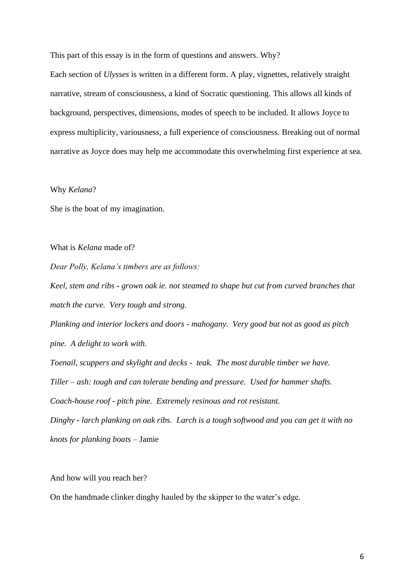This part of this essay is in the form of questions and answers. Why?

Each section of *Ulysses* is written in a different form. A play, vignettes, relatively straight narrative, stream of consciousness, a kind of Socratic questioning. This allows all kinds of background, perspectives, dimensions, modes of speech to be included. It allows Joyce to express multiplicity, variousness, a full experience of consciousness. Breaking out of normal narrative as Joyce does may help me accommodate this overwhelming first experience at sea.

Why *Kelana*?

She is the boat of my imagination.

What is *Kelana* made of?

*Dear Polly, Kelana's timbers are as follows:*

*Keel, stem and ribs - grown oak ie. not steamed to shape but cut from curved branches that match the curve. Very tough and strong. Planking and interior lockers and doors - mahogany. Very good but not as good as pitch pine. A delight to work with. Toenail, scuppers and skylight and decks - teak. The most durable timber we have. Tiller – ash: tough and can tolerate bending and pressure. Used for hammer shafts. Coach-house roof - pitch pine. Extremely resinous and rot resistant. Dinghy - larch planking on oak ribs. Larch is a tough softwood and you can get it with no* 

*knots for planking boats –* Jamie

And how will you reach her?

On the handmade clinker dinghy hauled by the skipper to the water's edge.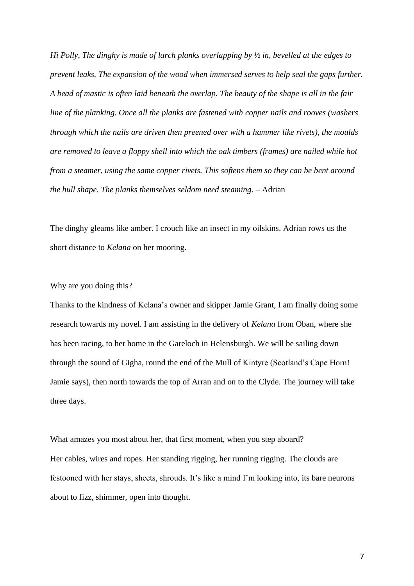*Hi Polly, The dinghy is made of larch planks overlapping by ½ in, bevelled at the edges to prevent leaks. The expansion of the wood when immersed serves to help seal the gaps further. A bead of mastic is often laid beneath the overlap. The beauty of the shape is all in the fair line of the planking. Once all the planks are fastened with copper nails and rooves (washers through which the nails are driven then preened over with a hammer like rivets), the moulds are removed to leave a floppy shell into which the oak timbers (frames) are nailed while hot from a steamer, using the same copper rivets. This softens them so they can be bent around the hull shape. The planks themselves seldom need steaming*. – Adrian

The dinghy gleams like amber. I crouch like an insect in my oilskins. Adrian rows us the short distance to *Kelana* on her mooring.

## Why are you doing this?

Thanks to the kindness of Kelana's owner and skipper Jamie Grant, I am finally doing some research towards my novel. I am assisting in the delivery of *Kelana* from Oban, where she has been racing, to her home in the Gareloch in Helensburgh. We will be sailing down through the sound of Gigha, round the end of the Mull of Kintyre (Scotland's Cape Horn! Jamie says), then north towards the top of Arran and on to the Clyde. The journey will take three days.

What amazes you most about her, that first moment, when you step aboard? Her cables, wires and ropes. Her standing rigging, her running rigging. The clouds are festooned with her stays, sheets, shrouds. It's like a mind I'm looking into, its bare neurons about to fizz, shimmer, open into thought.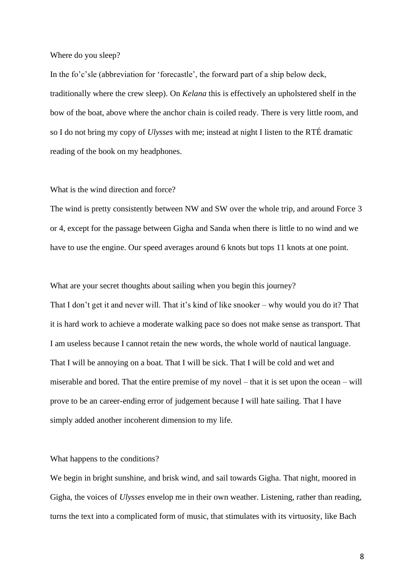#### Where do you sleep?

In the fo'c'sle (abbreviation for 'forecastle', the forward part of a ship below deck, traditionally where the crew sleep). On *Kelana* this is effectively an upholstered shelf in the bow of the boat, above where the anchor chain is coiled ready. There is very little room, and so I do not bring my copy of *Ulysses* with me; instead at night I listen to the RTÉ dramatic reading of the book on my headphones.

#### What is the wind direction and force?

The wind is pretty consistently between NW and SW over the whole trip, and around Force 3 or 4, except for the passage between Gigha and Sanda when there is little to no wind and we have to use the engine. Our speed averages around 6 knots but tops 11 knots at one point.

What are your secret thoughts about sailing when you begin this journey? That I don't get it and never will. That it's kind of like snooker – why would you do it? That it is hard work to achieve a moderate walking pace so does not make sense as transport. That I am useless because I cannot retain the new words, the whole world of nautical language. That I will be annoying on a boat. That I will be sick. That I will be cold and wet and miserable and bored. That the entire premise of my novel – that it is set upon the ocean – will prove to be an career-ending error of judgement because I will hate sailing. That I have simply added another incoherent dimension to my life.

#### What happens to the conditions?

We begin in bright sunshine, and brisk wind, and sail towards Gigha. That night, moored in Gigha, the voices of *Ulysses* envelop me in their own weather. Listening, rather than reading, turns the text into a complicated form of music, that stimulates with its virtuosity, like Bach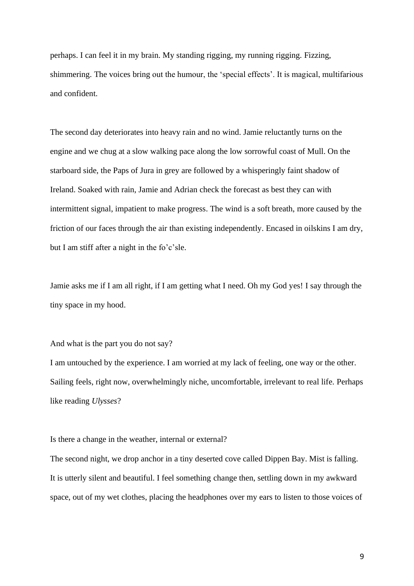perhaps. I can feel it in my brain. My standing rigging, my running rigging. Fizzing, shimmering. The voices bring out the humour, the 'special effects'. It is magical, multifarious and confident.

The second day deteriorates into heavy rain and no wind. Jamie reluctantly turns on the engine and we chug at a slow walking pace along the low sorrowful coast of Mull. On the starboard side, the Paps of Jura in grey are followed by a whisperingly faint shadow of Ireland. Soaked with rain, Jamie and Adrian check the forecast as best they can with intermittent signal, impatient to make progress. The wind is a soft breath, more caused by the friction of our faces through the air than existing independently. Encased in oilskins I am dry, but I am stiff after a night in the fo'c'sle.

Jamie asks me if I am all right, if I am getting what I need. Oh my God yes! I say through the tiny space in my hood.

And what is the part you do not say?

I am untouched by the experience. I am worried at my lack of feeling, one way or the other. Sailing feels, right now, overwhelmingly niche, uncomfortable, irrelevant to real life. Perhaps like reading *Ulysses*?

Is there a change in the weather, internal or external?

The second night, we drop anchor in a tiny deserted cove called Dippen Bay. Mist is falling. It is utterly silent and beautiful. I feel something change then, settling down in my awkward space, out of my wet clothes, placing the headphones over my ears to listen to those voices of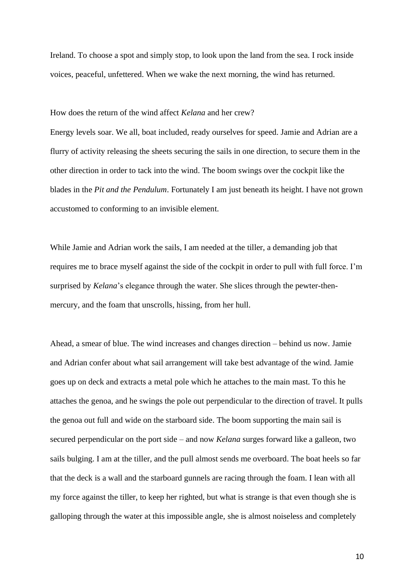Ireland. To choose a spot and simply stop, to look upon the land from the sea. I rock inside voices, peaceful, unfettered. When we wake the next morning, the wind has returned.

How does the return of the wind affect *Kelana* and her crew?

Energy levels soar. We all, boat included, ready ourselves for speed. Jamie and Adrian are a flurry of activity releasing the sheets securing the sails in one direction, to secure them in the other direction in order to tack into the wind. The boom swings over the cockpit like the blades in the *Pit and the Pendulum*. Fortunately I am just beneath its height. I have not grown accustomed to conforming to an invisible element.

While Jamie and Adrian work the sails, I am needed at the tiller, a demanding job that requires me to brace myself against the side of the cockpit in order to pull with full force. I'm surprised by *Kelana*'s elegance through the water. She slices through the pewter-thenmercury, and the foam that unscrolls, hissing, from her hull.

Ahead, a smear of blue. The wind increases and changes direction – behind us now. Jamie and Adrian confer about what sail arrangement will take best advantage of the wind. Jamie goes up on deck and extracts a metal pole which he attaches to the main mast. To this he attaches the genoa, and he swings the pole out perpendicular to the direction of travel. It pulls the genoa out full and wide on the starboard side. The boom supporting the main sail is secured perpendicular on the port side – and now *Kelana* surges forward like a galleon, two sails bulging. I am at the tiller, and the pull almost sends me overboard. The boat heels so far that the deck is a wall and the starboard gunnels are racing through the foam. I lean with all my force against the tiller, to keep her righted, but what is strange is that even though she is galloping through the water at this impossible angle, she is almost noiseless and completely

10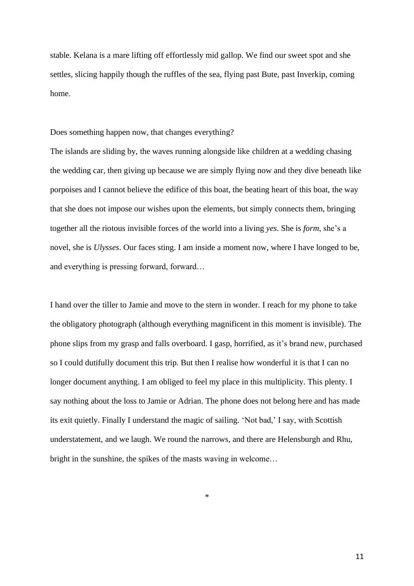stable. Kelana is a mare lifting off effortlessly mid gallop. We find our sweet spot and she settles, slicing happily though the ruffles of the sea, flying past Bute, past Inverkip, coming home.

Does something happen now, that changes everything?

The islands are sliding by, the waves running alongside like children at a wedding chasing the wedding car, then giving up because we are simply flying now and they dive beneath like porpoises and I cannot believe the edifice of this boat, the beating heart of this boat, the way that she does not impose our wishes upon the elements, but simply connects them, bringing together all the riotous invisible forces of the world into a living *yes*. She is *form*, she's a novel, she is *Ulysses*. Our faces sting. I am inside a moment now, where I have longed to be, and everything is pressing forward, forward…

I hand over the tiller to Jamie and move to the stern in wonder. I reach for my phone to take the obligatory photograph (although everything magnificent in this moment is invisible). The phone slips from my grasp and falls overboard. I gasp, horrified, as it's brand new, purchased so I could dutifully document this trip. But then I realise how wonderful it is that I can no longer document anything. I am obliged to feel my place in this multiplicity. This plenty. I say nothing about the loss to Jamie or Adrian. The phone does not belong here and has made its exit quietly. Finally I understand the magic of sailing. 'Not bad,' I say, with Scottish understatement, and we laugh. We round the narrows, and there are Helensburgh and Rhu, bright in the sunshine, the spikes of the masts waving in welcome…

\*

11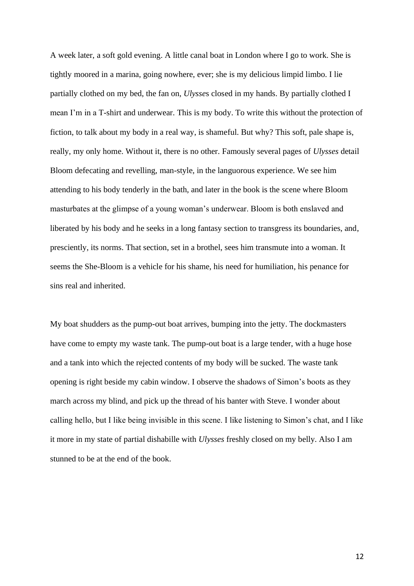A week later, a soft gold evening. A little canal boat in London where I go to work. She is tightly moored in a marina, going nowhere, ever; she is my delicious limpid limbo. I lie partially clothed on my bed, the fan on, *Ulysse*s closed in my hands. By partially clothed I mean I'm in a T-shirt and underwear. This is my body. To write this without the protection of fiction, to talk about my body in a real way, is shameful. But why? This soft, pale shape is, really, my only home. Without it, there is no other. Famously several pages of *Ulysses* detail Bloom defecating and revelling, man-style, in the languorous experience. We see him attending to his body tenderly in the bath, and later in the book is the scene where Bloom masturbates at the glimpse of a young woman's underwear. Bloom is both enslaved and liberated by his body and he seeks in a long fantasy section to transgress its boundaries, and, presciently, its norms. That section, set in a brothel, sees him transmute into a woman. It seems the She-Bloom is a vehicle for his shame, his need for humiliation, his penance for sins real and inherited.

My boat shudders as the pump-out boat arrives, bumping into the jetty. The dockmasters have come to empty my waste tank. The pump-out boat is a large tender, with a huge hose and a tank into which the rejected contents of my body will be sucked. The waste tank opening is right beside my cabin window. I observe the shadows of Simon's boots as they march across my blind, and pick up the thread of his banter with Steve. I wonder about calling hello, but I like being invisible in this scene. I like listening to Simon's chat, and I like it more in my state of partial dishabille with *Ulysses* freshly closed on my belly. Also I am stunned to be at the end of the book.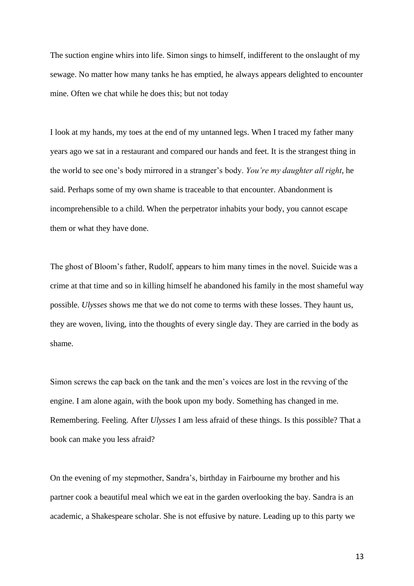The suction engine whirs into life. Simon sings to himself, indifferent to the onslaught of my sewage. No matter how many tanks he has emptied, he always appears delighted to encounter mine. Often we chat while he does this; but not today

I look at my hands, my toes at the end of my untanned legs. When I traced my father many years ago we sat in a restaurant and compared our hands and feet. It is the strangest thing in the world to see one's body mirrored in a stranger's body. *You're my daughter all right*, he said. Perhaps some of my own shame is traceable to that encounter. Abandonment is incomprehensible to a child. When the perpetrator inhabits your body, you cannot escape them or what they have done.

The ghost of Bloom's father, Rudolf, appears to him many times in the novel. Suicide was a crime at that time and so in killing himself he abandoned his family in the most shameful way possible. *Ulysses* shows me that we do not come to terms with these losses. They haunt us, they are woven, living, into the thoughts of every single day. They are carried in the body as shame.

Simon screws the cap back on the tank and the men's voices are lost in the revving of the engine. I am alone again, with the book upon my body. Something has changed in me. Remembering. Feeling. After *Ulysses* I am less afraid of these things. Is this possible? That a book can make you less afraid?

On the evening of my stepmother, Sandra's, birthday in Fairbourne my brother and his partner cook a beautiful meal which we eat in the garden overlooking the bay. Sandra is an academic, a Shakespeare scholar. She is not effusive by nature. Leading up to this party we